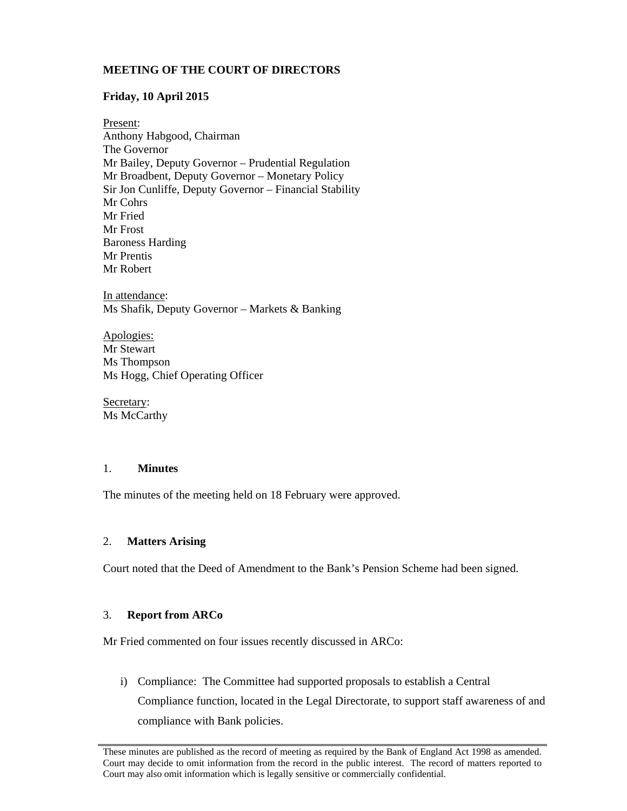# **MEETING OF THE COURT OF DIRECTORS**

# **Friday, 10 April 2015**

Present: Anthony Habgood, Chairman The Governor Mr Bailey, Deputy Governor – Prudential Regulation Mr Broadbent, Deputy Governor – Monetary Policy Sir Jon Cunliffe, Deputy Governor – Financial Stability Mr Cohrs Mr Fried Mr Frost Baroness Harding Mr Prentis Mr Robert

In attendance: Ms Shafik, Deputy Governor – Markets & Banking

Apologies: Mr Stewart Ms Thompson Ms Hogg, Chief Operating Officer

Secretary: Ms McCarthy

# 1. **Minutes**

The minutes of the meeting held on 18 February were approved.

# 2. **Matters Arising**

Court noted that the Deed of Amendment to the Bank's Pension Scheme had been signed.

# 3. **Report from ARCo**

Mr Fried commented on four issues recently discussed in ARCo:

i) Compliance: The Committee had supported proposals to establish a Central Compliance function, located in the Legal Directorate, to support staff awareness of and compliance with Bank policies.

These minutes are published as the record of meeting as required by the Bank of England Act 1998 as amended. Court may decide to omit information from the record in the public interest. The record of matters reported to Court may also omit information which is legally sensitive or commercially confidential.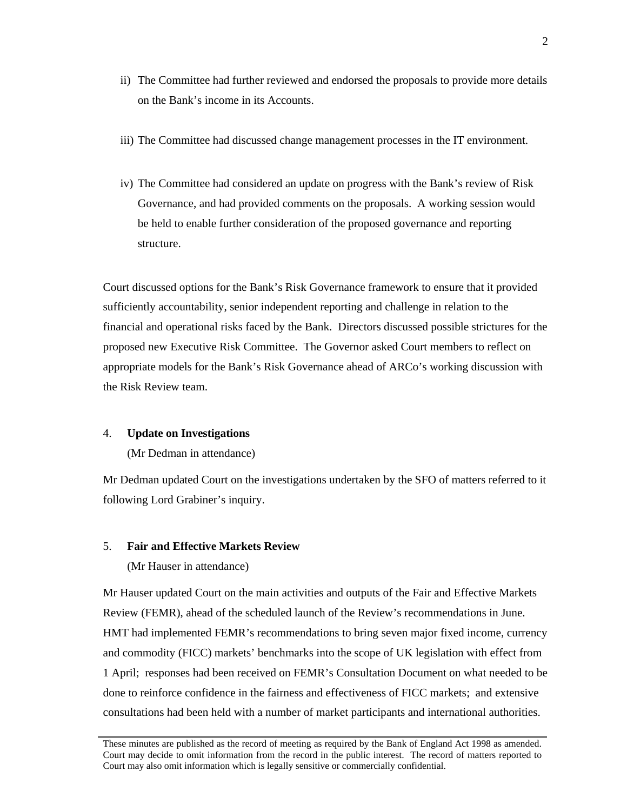- ii) The Committee had further reviewed and endorsed the proposals to provide more details on the Bank's income in its Accounts.
- iii) The Committee had discussed change management processes in the IT environment.
- iv) The Committee had considered an update on progress with the Bank's review of Risk Governance, and had provided comments on the proposals. A working session would be held to enable further consideration of the proposed governance and reporting structure.

Court discussed options for the Bank's Risk Governance framework to ensure that it provided sufficiently accountability, senior independent reporting and challenge in relation to the financial and operational risks faced by the Bank. Directors discussed possible strictures for the proposed new Executive Risk Committee. The Governor asked Court members to reflect on appropriate models for the Bank's Risk Governance ahead of ARCo's working discussion with the Risk Review team.

# 4. **Update on Investigations**

(Mr Dedman in attendance)

Mr Dedman updated Court on the investigations undertaken by the SFO of matters referred to it following Lord Grabiner's inquiry.

# 5. **Fair and Effective Markets Review**

(Mr Hauser in attendance)

Mr Hauser updated Court on the main activities and outputs of the Fair and Effective Markets Review (FEMR), ahead of the scheduled launch of the Review's recommendations in June. HMT had implemented FEMR's recommendations to bring seven major fixed income, currency and commodity (FICC) markets' benchmarks into the scope of UK legislation with effect from 1 April; responses had been received on FEMR's Consultation Document on what needed to be done to reinforce confidence in the fairness and effectiveness of FICC markets; and extensive consultations had been held with a number of market participants and international authorities.

These minutes are published as the record of meeting as required by the Bank of England Act 1998 as amended. Court may decide to omit information from the record in the public interest. The record of matters reported to Court may also omit information which is legally sensitive or commercially confidential.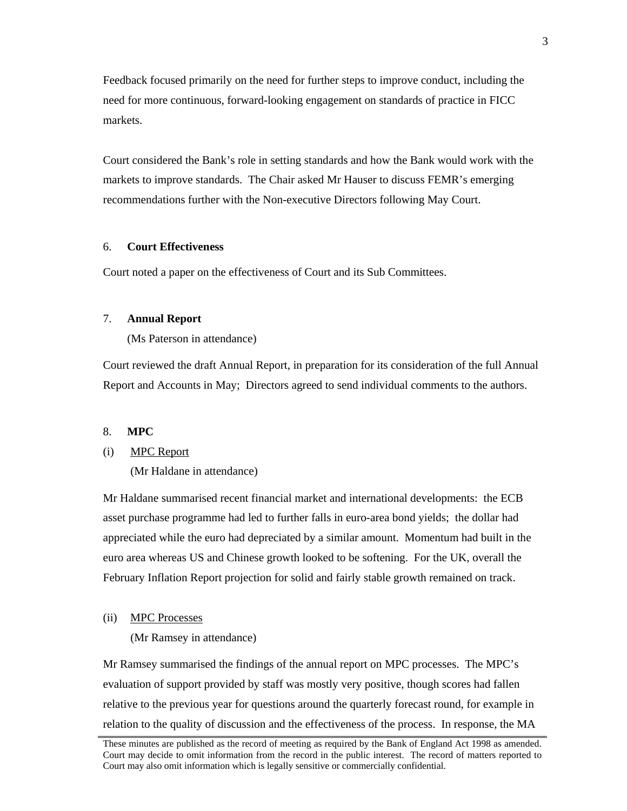Feedback focused primarily on the need for further steps to improve conduct, including the need for more continuous, forward-looking engagement on standards of practice in FICC markets.

Court considered the Bank's role in setting standards and how the Bank would work with the markets to improve standards. The Chair asked Mr Hauser to discuss FEMR's emerging recommendations further with the Non-executive Directors following May Court.

## 6. **Court Effectiveness**

Court noted a paper on the effectiveness of Court and its Sub Committees.

# 7. **Annual Report**

(Ms Paterson in attendance)

Court reviewed the draft Annual Report, in preparation for its consideration of the full Annual Report and Accounts in May; Directors agreed to send individual comments to the authors.

# 8. **MPC**

## (i) MPC Report

(Mr Haldane in attendance)

Mr Haldane summarised recent financial market and international developments: the ECB asset purchase programme had led to further falls in euro-area bond yields; the dollar had appreciated while the euro had depreciated by a similar amount. Momentum had built in the euro area whereas US and Chinese growth looked to be softening. For the UK, overall the February Inflation Report projection for solid and fairly stable growth remained on track.

#### (ii) MPC Processes

(Mr Ramsey in attendance)

Mr Ramsey summarised the findings of the annual report on MPC processes. The MPC's evaluation of support provided by staff was mostly very positive, though scores had fallen relative to the previous year for questions around the quarterly forecast round, for example in relation to the quality of discussion and the effectiveness of the process. In response, the MA

These minutes are published as the record of meeting as required by the Bank of England Act 1998 as amended. Court may decide to omit information from the record in the public interest. The record of matters reported to Court may also omit information which is legally sensitive or commercially confidential.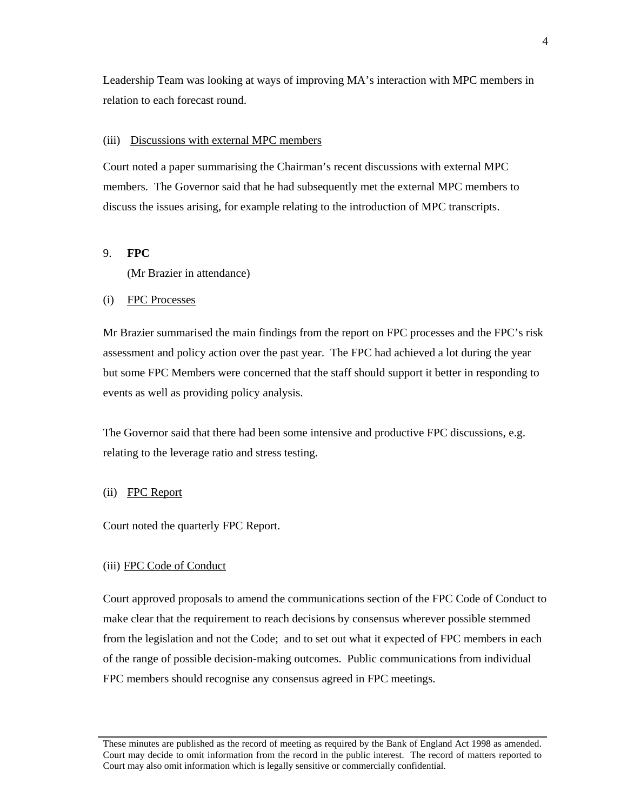Leadership Team was looking at ways of improving MA's interaction with MPC members in relation to each forecast round.

### (iii) Discussions with external MPC members

Court noted a paper summarising the Chairman's recent discussions with external MPC members. The Governor said that he had subsequently met the external MPC members to discuss the issues arising, for example relating to the introduction of MPC transcripts.

# 9. **FPC**

(Mr Brazier in attendance)

#### (i) FPC Processes

Mr Brazier summarised the main findings from the report on FPC processes and the FPC's risk assessment and policy action over the past year. The FPC had achieved a lot during the year but some FPC Members were concerned that the staff should support it better in responding to events as well as providing policy analysis.

The Governor said that there had been some intensive and productive FPC discussions, e.g. relating to the leverage ratio and stress testing.

#### (ii) FPC Report

Court noted the quarterly FPC Report.

## (iii) FPC Code of Conduct

Court approved proposals to amend the communications section of the FPC Code of Conduct to make clear that the requirement to reach decisions by consensus wherever possible stemmed from the legislation and not the Code; and to set out what it expected of FPC members in each of the range of possible decision-making outcomes. Public communications from individual FPC members should recognise any consensus agreed in FPC meetings.

These minutes are published as the record of meeting as required by the Bank of England Act 1998 as amended. Court may decide to omit information from the record in the public interest. The record of matters reported to Court may also omit information which is legally sensitive or commercially confidential.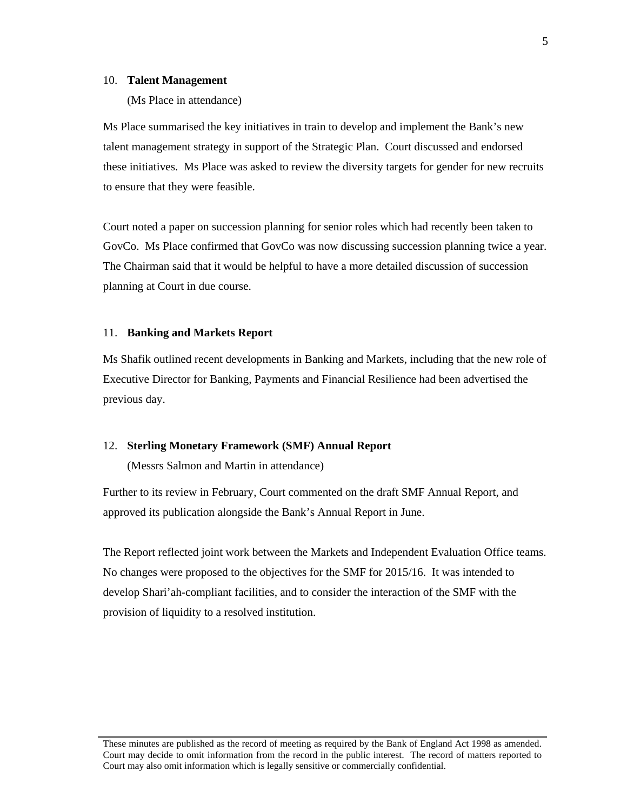#### 10. **Talent Management**

(Ms Place in attendance)

Ms Place summarised the key initiatives in train to develop and implement the Bank's new talent management strategy in support of the Strategic Plan. Court discussed and endorsed these initiatives. Ms Place was asked to review the diversity targets for gender for new recruits to ensure that they were feasible.

Court noted a paper on succession planning for senior roles which had recently been taken to GovCo. Ms Place confirmed that GovCo was now discussing succession planning twice a year. The Chairman said that it would be helpful to have a more detailed discussion of succession planning at Court in due course.

# 11. **Banking and Markets Report**

Ms Shafik outlined recent developments in Banking and Markets, including that the new role of Executive Director for Banking, Payments and Financial Resilience had been advertised the previous day.

### 12. **Sterling Monetary Framework (SMF) Annual Report**

(Messrs Salmon and Martin in attendance)

Further to its review in February, Court commented on the draft SMF Annual Report, and approved its publication alongside the Bank's Annual Report in June.

The Report reflected joint work between the Markets and Independent Evaluation Office teams. No changes were proposed to the objectives for the SMF for 2015/16. It was intended to develop Shari'ah-compliant facilities, and to consider the interaction of the SMF with the provision of liquidity to a resolved institution.

These minutes are published as the record of meeting as required by the Bank of England Act 1998 as amended. Court may decide to omit information from the record in the public interest. The record of matters reported to Court may also omit information which is legally sensitive or commercially confidential.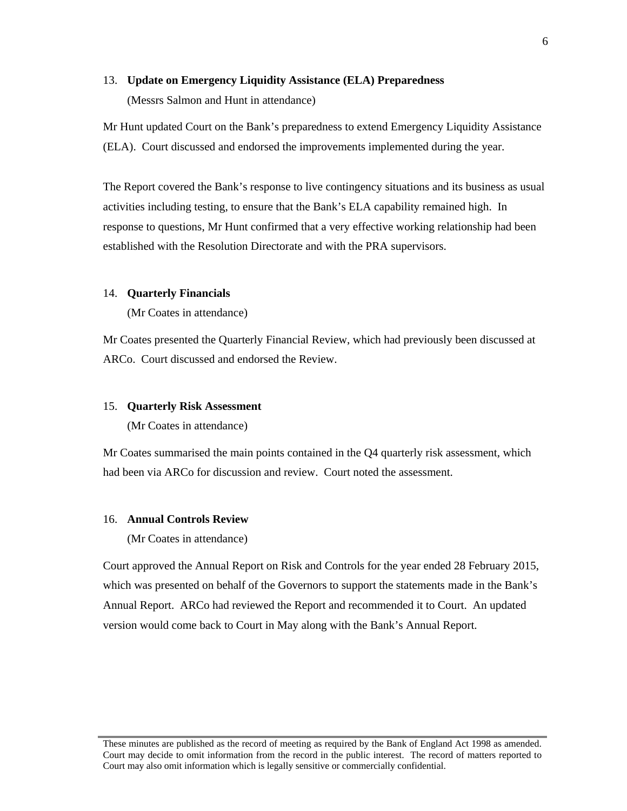## 13. **Update on Emergency Liquidity Assistance (ELA) Preparedness**

(Messrs Salmon and Hunt in attendance)

Mr Hunt updated Court on the Bank's preparedness to extend Emergency Liquidity Assistance (ELA). Court discussed and endorsed the improvements implemented during the year.

The Report covered the Bank's response to live contingency situations and its business as usual activities including testing, to ensure that the Bank's ELA capability remained high. In response to questions, Mr Hunt confirmed that a very effective working relationship had been established with the Resolution Directorate and with the PRA supervisors.

# 14. **Quarterly Financials**

(Mr Coates in attendance)

Mr Coates presented the Quarterly Financial Review, which had previously been discussed at ARCo. Court discussed and endorsed the Review.

## 15. **Quarterly Risk Assessment**

(Mr Coates in attendance)

Mr Coates summarised the main points contained in the Q4 quarterly risk assessment, which had been via ARCo for discussion and review. Court noted the assessment.

### 16. **Annual Controls Review**

(Mr Coates in attendance)

Court approved the Annual Report on Risk and Controls for the year ended 28 February 2015, which was presented on behalf of the Governors to support the statements made in the Bank's Annual Report. ARCo had reviewed the Report and recommended it to Court. An updated version would come back to Court in May along with the Bank's Annual Report.

These minutes are published as the record of meeting as required by the Bank of England Act 1998 as amended. Court may decide to omit information from the record in the public interest. The record of matters reported to Court may also omit information which is legally sensitive or commercially confidential.